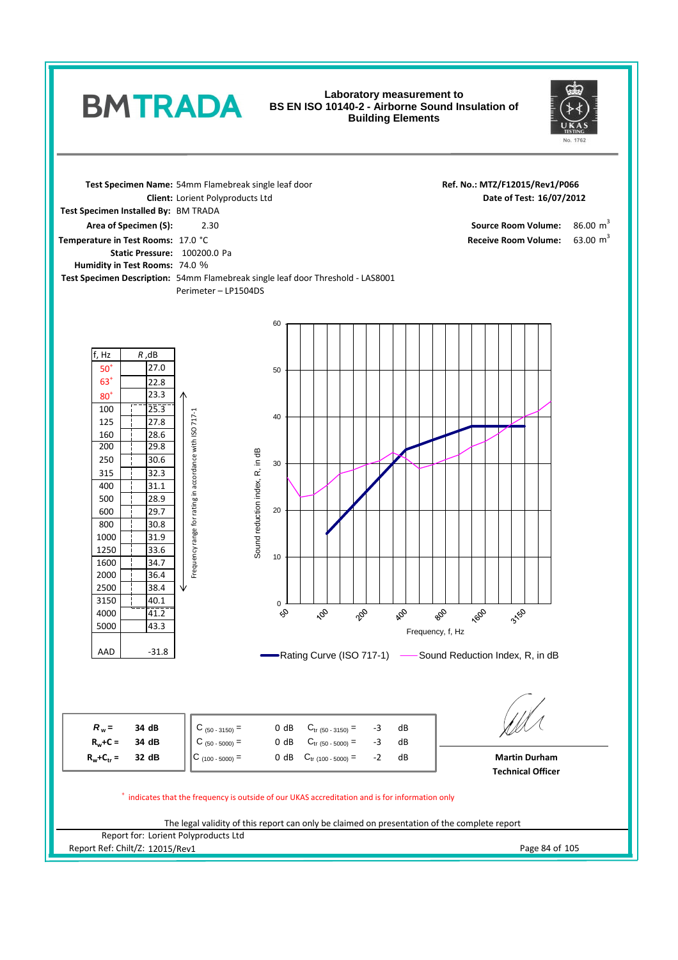